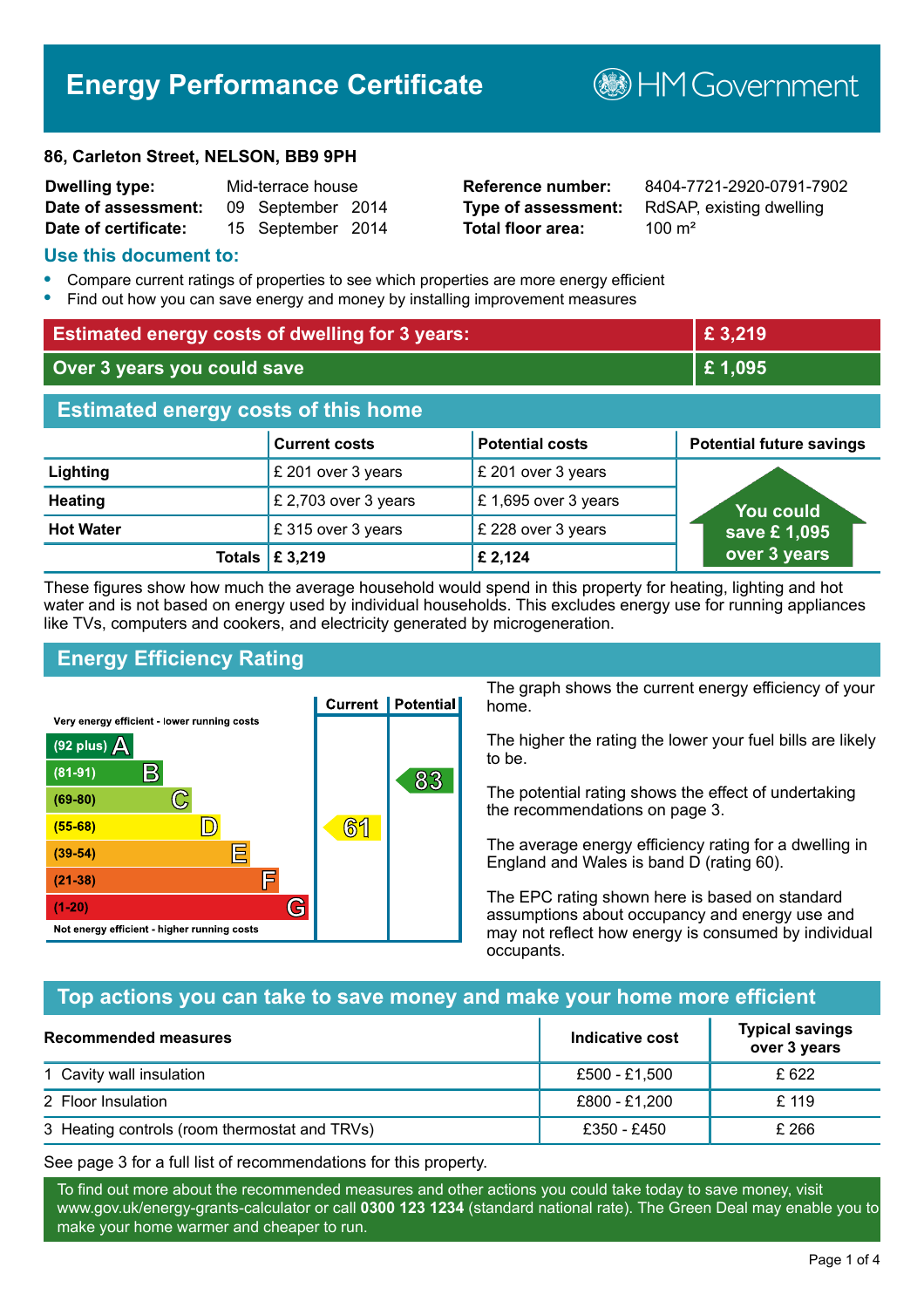# **Energy Performance Certificate**

#### **86, Carleton Street, NELSON, BB9 9PH**

| <b>Dwelling type:</b> | Mid-terrace house |                   |  |
|-----------------------|-------------------|-------------------|--|
| Date of assessment:   |                   | 09 September 2014 |  |
| Date of certificate:  |                   | 15 September 2014 |  |

# **Total floor area:** 100 m<sup>2</sup>

**Reference number:** 8404-7721-2920-0791-7902 **Type of assessment:** RdSAP, existing dwelling

**BHM Government** 

#### **Use this document to:**

- **•** Compare current ratings of properties to see which properties are more energy efficient
- **•** Find out how you can save energy and money by installing improvement measures

| <b>Estimated energy costs of dwelling for 3 years:</b> |                           | £ 3,219                |                                 |
|--------------------------------------------------------|---------------------------|------------------------|---------------------------------|
| Over 3 years you could save                            |                           | £1,095                 |                                 |
| <b>Estimated energy costs of this home</b>             |                           |                        |                                 |
|                                                        | <b>Current costs</b>      | <b>Potential costs</b> | <b>Potential future savings</b> |
| Lighting                                               | £ 201 over 3 years        | £ 201 over 3 years     |                                 |
| <b>Heating</b>                                         | £ 2,703 over 3 years      | £ 1,695 over 3 years   | You could                       |
| <b>Hot Water</b>                                       | £315 over 3 years         | £ 228 over 3 years     | save £1,095                     |
|                                                        | Totals $\mathsf{E}$ 3,219 | £ 2,124                | over 3 years                    |

These figures show how much the average household would spend in this property for heating, lighting and hot water and is not based on energy used by individual households. This excludes energy use for running appliances like TVs, computers and cookers, and electricity generated by microgeneration.

# **Energy Efficiency Rating**



The graph shows the current energy efficiency of your home.

The higher the rating the lower your fuel bills are likely to be.

The potential rating shows the effect of undertaking the recommendations on page 3.

The average energy efficiency rating for a dwelling in England and Wales is band D (rating 60).

The EPC rating shown here is based on standard assumptions about occupancy and energy use and may not reflect how energy is consumed by individual occupants.

# **Top actions you can take to save money and make your home more efficient**

| <b>Recommended measures</b>                   | Indicative cost | <b>Typical savings</b><br>over 3 years |
|-----------------------------------------------|-----------------|----------------------------------------|
| 1 Cavity wall insulation                      | £500 - £1.500   | £ 622                                  |
| 2 Floor Insulation                            | £800 - £1,200   | £ 119                                  |
| 3 Heating controls (room thermostat and TRVs) | £350 - £450     | £ 266                                  |

See page 3 for a full list of recommendations for this property.

To find out more about the recommended measures and other actions you could take today to save money, visit www.gov.uk/energy-grants-calculator or call **0300 123 1234** (standard national rate). The Green Deal may enable you to make your home warmer and cheaper to run.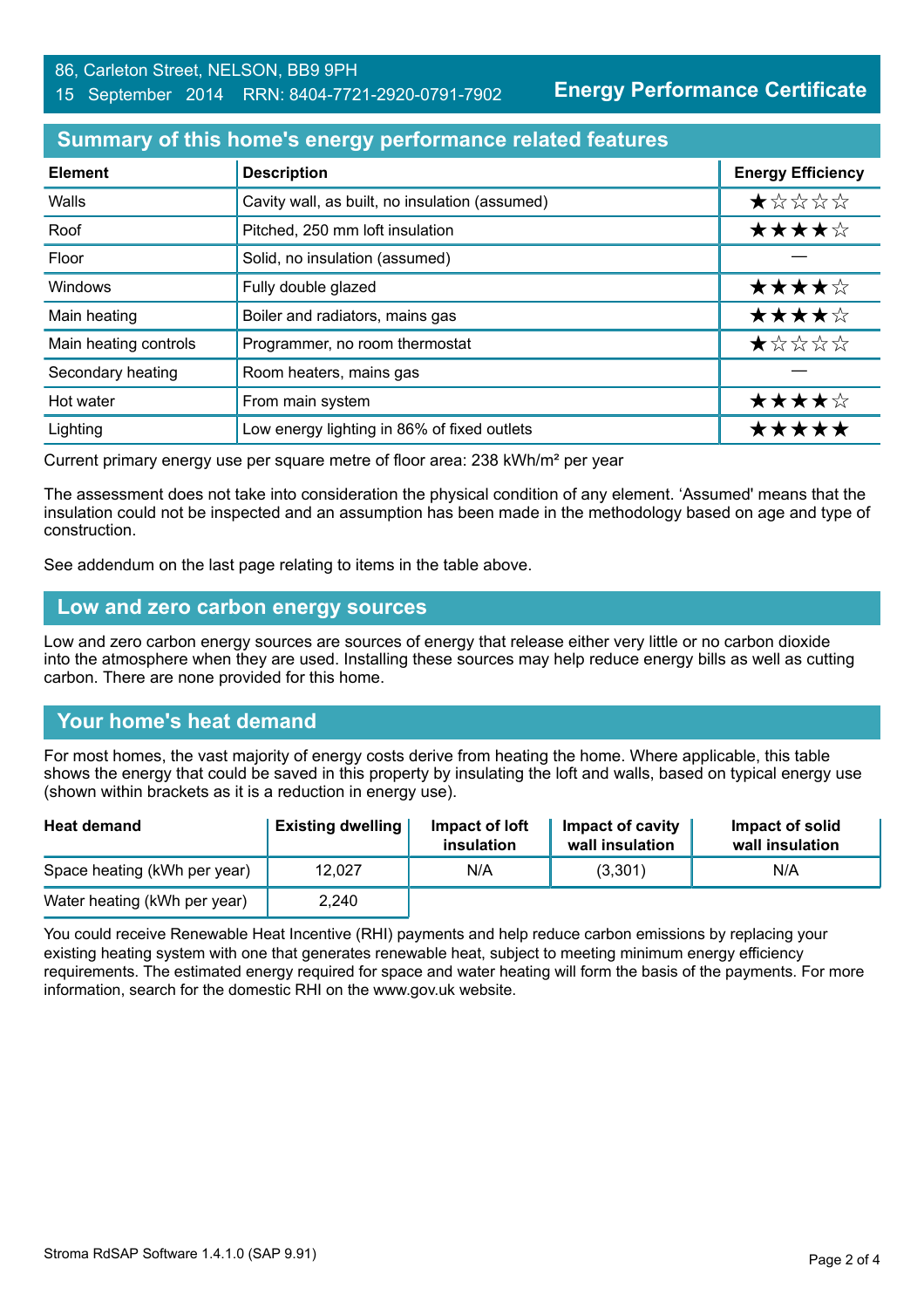#### **Summary of this home's energy performance related features**

| <b>Element</b>        | <b>Description</b>                             | <b>Energy Efficiency</b> |
|-----------------------|------------------------------------------------|--------------------------|
| Walls                 | Cavity wall, as built, no insulation (assumed) | *****                    |
| Roof                  | Pitched, 250 mm loft insulation                | ★★★★☆                    |
| Floor                 | Solid, no insulation (assumed)                 |                          |
| Windows               | Fully double glazed                            | ★★★★☆                    |
| Main heating          | Boiler and radiators, mains gas                | ★★★★☆                    |
| Main heating controls | Programmer, no room thermostat                 | ★☆☆☆☆                    |
| Secondary heating     | Room heaters, mains gas                        |                          |
| Hot water             | From main system                               | ★★★★☆                    |
| Lighting              | Low energy lighting in 86% of fixed outlets    | *****                    |

Current primary energy use per square metre of floor area: 238 kWh/m² per year

The assessment does not take into consideration the physical condition of any element. 'Assumed' means that the insulation could not be inspected and an assumption has been made in the methodology based on age and type of construction.

See addendum on the last page relating to items in the table above.

#### **Low and zero carbon energy sources**

Low and zero carbon energy sources are sources of energy that release either very little or no carbon dioxide into the atmosphere when they are used. Installing these sources may help reduce energy bills as well as cutting carbon. There are none provided for this home.

# **Your home's heat demand**

For most homes, the vast majority of energy costs derive from heating the home. Where applicable, this table shows the energy that could be saved in this property by insulating the loft and walls, based on typical energy use (shown within brackets as it is a reduction in energy use).

| <b>Heat demand</b>           | <b>Existing dwelling</b> | Impact of loft<br>insulation | Impact of cavity<br>wall insulation | Impact of solid<br>wall insulation |
|------------------------------|--------------------------|------------------------------|-------------------------------------|------------------------------------|
| Space heating (kWh per year) | 12.027                   | N/A                          | (3,301)                             | N/A                                |
| Water heating (kWh per year) | 2,240                    |                              |                                     |                                    |

You could receive Renewable Heat Incentive (RHI) payments and help reduce carbon emissions by replacing your existing heating system with one that generates renewable heat, subject to meeting minimum energy efficiency requirements. The estimated energy required for space and water heating will form the basis of the payments. For more information, search for the domestic RHI on the www.gov.uk website.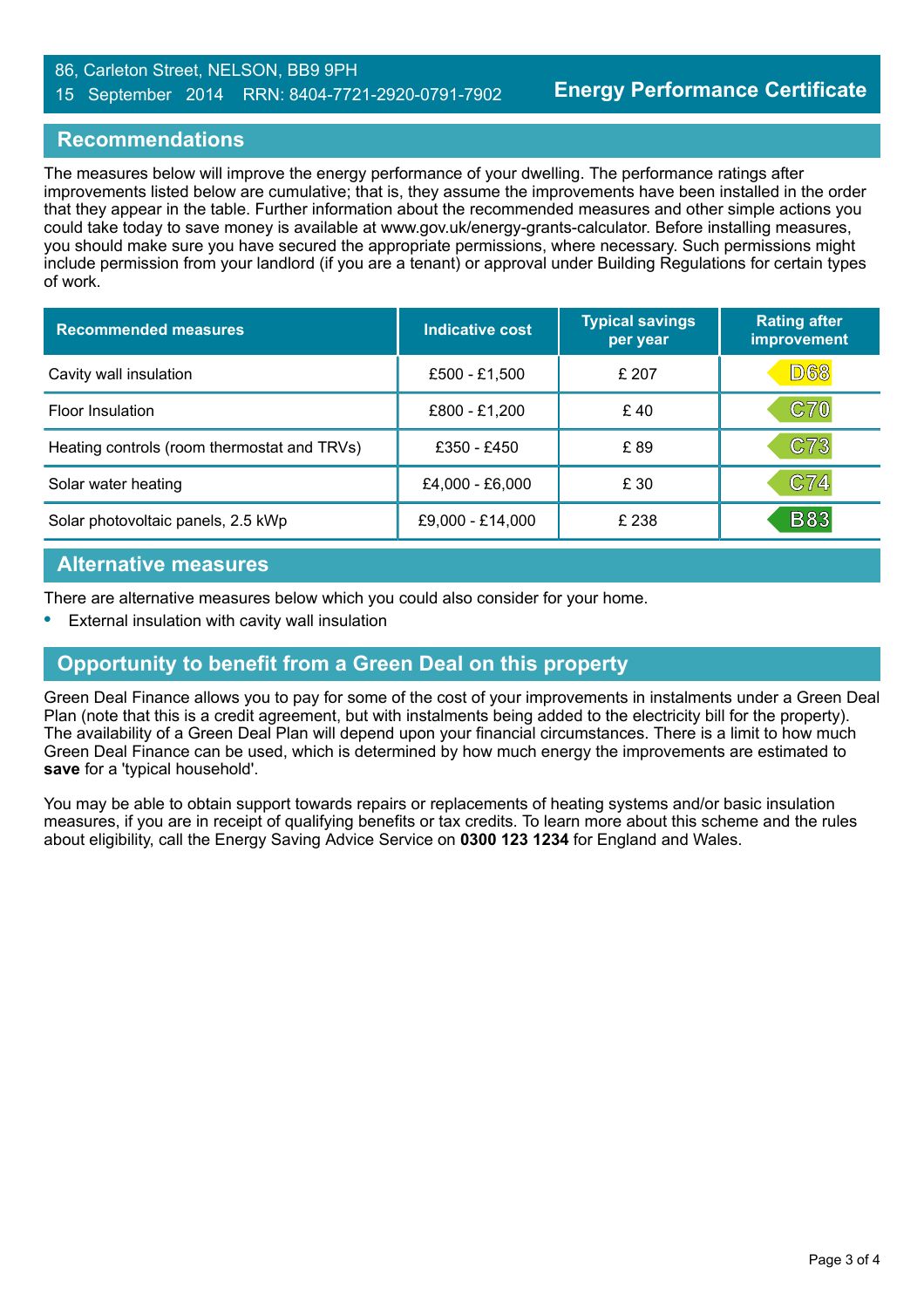#### 86, Carleton Street, NELSON, BB9 9PH 15 September 2014 RRN: 8404-7721-2920-0791-7902

#### **Recommendations**

The measures below will improve the energy performance of your dwelling. The performance ratings after improvements listed below are cumulative; that is, they assume the improvements have been installed in the order that they appear in the table. Further information about the recommended measures and other simple actions you could take today to save money is available at www.gov.uk/energy-grants-calculator. Before installing measures, you should make sure you have secured the appropriate permissions, where necessary. Such permissions might include permission from your landlord (if you are a tenant) or approval under Building Regulations for certain types of work.

| <b>Recommended measures</b>                 | Indicative cost  | <b>Typical savings</b><br>per year | <b>Rating after</b><br>improvement |
|---------------------------------------------|------------------|------------------------------------|------------------------------------|
| Cavity wall insulation                      | £500 - £1,500    | £ 207                              | <b>D68</b>                         |
| Floor Insulation                            | £800 - £1,200    | £40                                | <b>C70</b>                         |
| Heating controls (room thermostat and TRVs) | £350 - £450      | £89                                | C73                                |
| Solar water heating                         | £4,000 - £6,000  | £ 30                               | C74                                |
| Solar photovoltaic panels, 2.5 kWp          | £9,000 - £14,000 | £ 238                              | <b>B83</b>                         |

#### **Alternative measures**

There are alternative measures below which you could also consider for your home.

**•** External insulation with cavity wall insulation

# **Opportunity to benefit from a Green Deal on this property**

Green Deal Finance allows you to pay for some of the cost of your improvements in instalments under a Green Deal Plan (note that this is a credit agreement, but with instalments being added to the electricity bill for the property). The availability of a Green Deal Plan will depend upon your financial circumstances. There is a limit to how much Green Deal Finance can be used, which is determined by how much energy the improvements are estimated to **save** for a 'typical household'.

You may be able to obtain support towards repairs or replacements of heating systems and/or basic insulation measures, if you are in receipt of qualifying benefits or tax credits. To learn more about this scheme and the rules about eligibility, call the Energy Saving Advice Service on **0300 123 1234** for England and Wales.